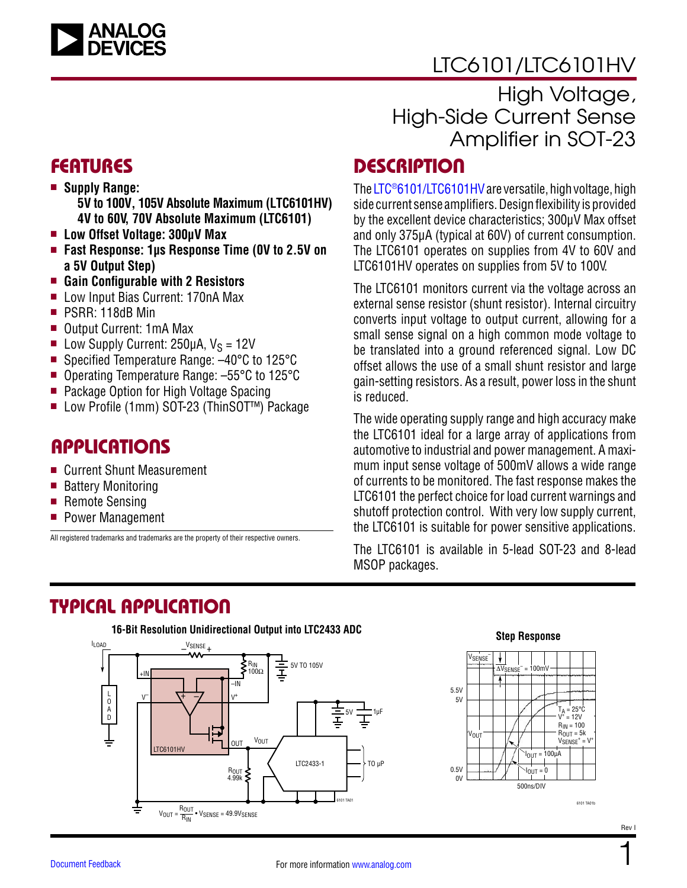

# LTC6101/LTC6101HV

# High Voltage, High-Side Current Sense Amplifier in SOT-23

### **FEATURES**

- <sup>n</sup> **Supply Range: 5V to 100V, 105V Absolute Maximum (LTC6101HV) 4V to 60V, 70V Absolute Maximum (LTC6101)**
- Low Offset Voltage: 300uV Max
- Fast Response: 1µs Response Time (0V to 2.5V on **a 5V Output Step)**
- <sup>n</sup> **Gain Configurable with 2 Resistors**
- Low Input Bias Current: 170nA Max
- PSRR: 118dB Min
- Output Current: 1mA Max
- **n** Low Supply Current:  $250\mu$ A,  $V_S = 12V$
- Specified Temperature Range: -40°C to 125°C
- Operating Temperature Range: -55°C to 125°C
- Package Option for High Voltage Spacing
- Low Profile (1mm) SOT-23 (ThinSOT<sup>™</sup>) Package

### **APPLICATIONS**

- Current Shunt Measurement
- Battery Monitoring
- $\blacksquare$  Remote Sensing
- **Power Management**

All registered trademarks and trademarks are the property of their respective owners.

# **DESCRIPTION**

The [LTC®6101/LTC6101HV](http://www.analog.com/LTC6101?doc=LTC6101.pdf) are versatile, high voltage, high side current sense amplifiers. Design flexibility is provided by the excellent device characteristics; 300μV Max offset and only 375μA (typical at 60V) of current consumption. The LTC6101 operates on supplies from 4V to 60V and LTC6101HV operates on supplies from 5V to 100V.

The LTC6101 monitors current via the voltage across an external sense resistor (shunt resistor). Internal circuitry converts input voltage to output current, allowing for a small sense signal on a high common mode voltage to be translated into a ground referenced signal. Low DC offset allows the use of a small shunt resistor and large gain-setting resistors. As a result, power loss in the shunt is reduced.

The wide operating supply range and high accuracy make the LTC6101 ideal for a large array of applications from automotive to industrial and power management. A maximum input sense voltage of 500mV allows a wide range of currents to be monitored. The fast response makes the LTC6101 the perfect choice for load current warnings and shutoff protection control. With very low supply current, the LTC6101 is suitable for power sensitive applications.

The LTC6101 is available in 5-lead SOT-23 and 8-lead MSOP packages.

### TYPICAL APPLICATION





1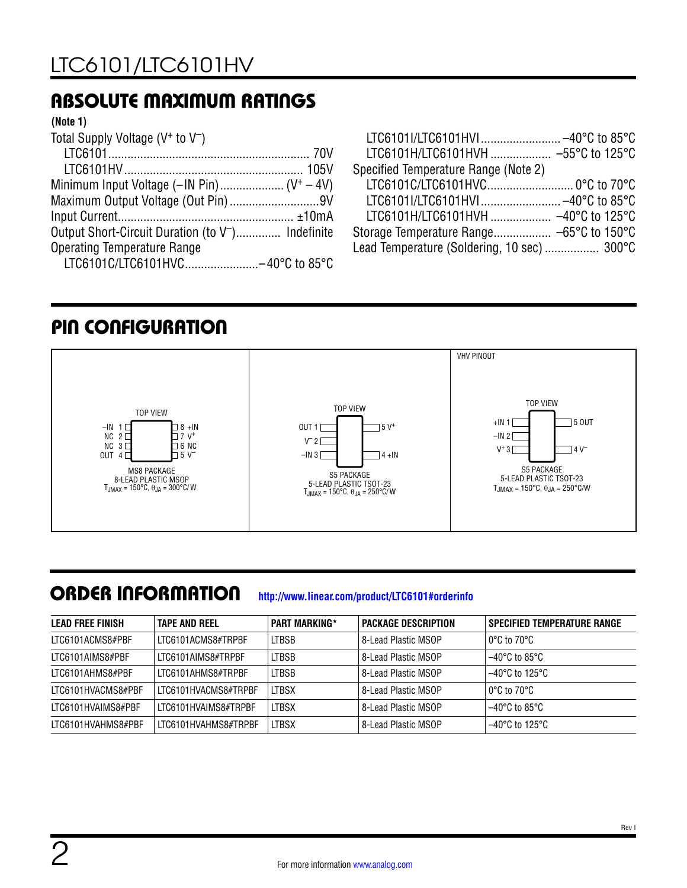# ABSOLUTE MAXIMUM RATINGS

#### **(Note 1)**

| Total Supply Voltage $(V^+)$ to $V^-$ )                       |  |
|---------------------------------------------------------------|--|
|                                                               |  |
|                                                               |  |
|                                                               |  |
|                                                               |  |
|                                                               |  |
| Output Short-Circuit Duration (to V <sup>-</sup> ) Indefinite |  |
| <b>Operating Temperature Range</b>                            |  |
| LTC6101C/LTC6101HVC-40°C to 85°C                              |  |

| Specified Temperature Range (Note 2)        |  |
|---------------------------------------------|--|
|                                             |  |
| LTC6101I/LTC6101HVI -40°C to 85°C           |  |
|                                             |  |
|                                             |  |
| Lead Temperature (Soldering, 10 sec)  300°C |  |

# PIN CONFIGURATION



### ORDER INFORMATION

#### **<http://www.linear.com/product/LTC6101#orderinfo>**

| <b>LEAD FREE FINISH</b> | <b>TAPE AND REEL</b> | <b>PART MARKING*</b> | <b>PACKAGE DESCRIPTION</b> | <b>SPECIFIED TEMPERATURE RANGE</b> |
|-------------------------|----------------------|----------------------|----------------------------|------------------------------------|
| LTC6101ACMS8#PBF        | ITC6101ACMS8#TRPRF   | <b>LTBSB</b>         | 8-Lead Plastic MSOP        | $0^{\circ}$ C to 70 $^{\circ}$ C   |
| LTC6101AIMS8#PBF        | LTC6101AIMS8#TRPBF   | LTBSB                | 8-Lead Plastic MSOP        | $-40^{\circ}$ C to 85°C            |
| LTC6101AHMS8#PBF        | ITC6101AHMS8#TRPBF   | LTBSB                | 8-Lead Plastic MSOP        | $-40^{\circ}$ C to 125°C           |
| LTC6101HVACMS8#PBF      | ITC6101HVACMS8#TRPRF | LTBSX                | 8-Lead Plastic MSOP        | $0^{\circ}$ C to 70 $^{\circ}$ C   |
| LTC6101HVAIMS8#PBF      | LTC6101HVAIMS8#TRPBF | LTBSX                | 8-Lead Plastic MSOP        | $-40^{\circ}$ C to 85°C.           |
| LTC6101HVAHMS8#PBF      | LTC6101HVAHMS8#TRPBF | LTBSX                | 8-Lead Plastic MSOP        | $-40^{\circ}$ C to 125°C.          |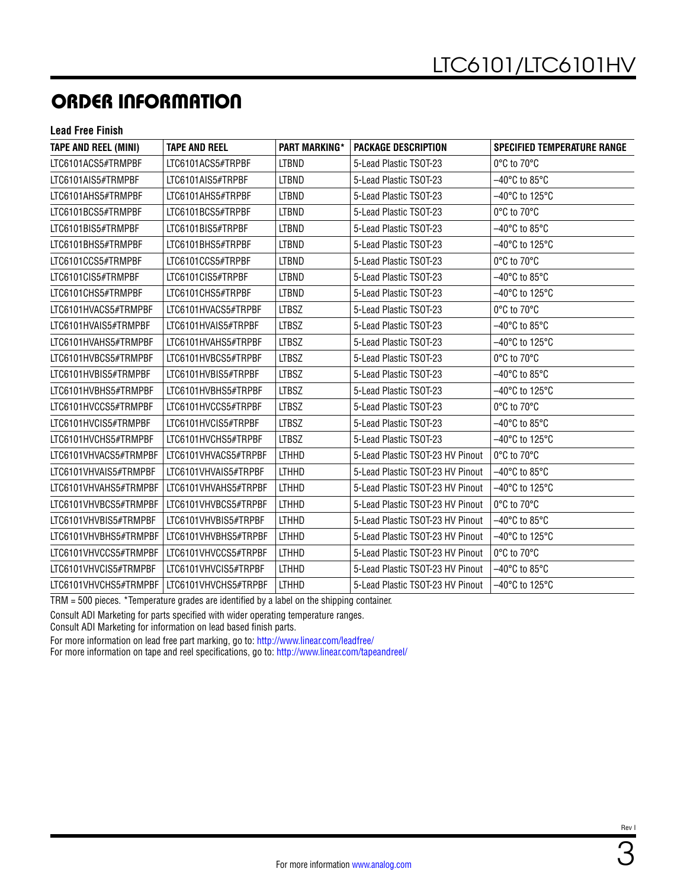# ORDER INFORMATION

#### **Lead Free Finish**

| <b>TAPE AND REEL (MINI)</b> | <b>TAPE AND REEL</b> | <b>PART MARKING*</b> | <b>PACKAGE DESCRIPTION</b>       | <b>SPECIFIED TEMPERATURE RANGE</b>  |
|-----------------------------|----------------------|----------------------|----------------------------------|-------------------------------------|
| LTC6101ACS5#TRMPBF          | LTC6101ACS5#TRPBF    | <b>LTBND</b>         | 5-Lead Plastic TSOT-23           | 0°C to 70°C                         |
| LTC6101AIS5#TRMPBF          | LTC6101AIS5#TRPBF    | <b>LTBND</b>         | 5-Lead Plastic TSOT-23           | $-40^{\circ}$ C to 85 $^{\circ}$ C  |
| LTC6101AHS5#TRMPBF          | LTC6101AHS5#TRPBF    | <b>LTBND</b>         | 5-Lead Plastic TSOT-23           | $-40^{\circ}$ C to 125 $^{\circ}$ C |
| LTC6101BCS5#TRMPBF          | LTC6101BCS5#TRPBF    | LTBND                | 5-Lead Plastic TSOT-23           | 0°C to 70°C                         |
| LTC6101BIS5#TRMPBF          | LTC6101BIS5#TRPBF    | LTBND                | 5-Lead Plastic TSOT-23           | $-40^{\circ}$ C to 85 $^{\circ}$ C  |
| LTC6101BHS5#TRMPBF          | LTC6101BHS5#TRPBF    | <b>LTBND</b>         | 5-Lead Plastic TSOT-23           | $-40^{\circ}$ C to 125 $^{\circ}$ C |
| LTC6101CCS5#TRMPBF          | LTC6101CCS5#TRPBF    | LTBND                | 5-Lead Plastic TSOT-23           | 0°C to 70°C                         |
| LTC6101CIS5#TRMPBF          | LTC6101CIS5#TRPBF    | LTBND                | 5-Lead Plastic TSOT-23           | $-40^{\circ}$ C to 85 $^{\circ}$ C  |
| LTC6101CHS5#TRMPBF          | LTC6101CHS5#TRPBF    | <b>LTBND</b>         | 5-Lead Plastic TSOT-23           | $-40^{\circ}$ C to 125 $^{\circ}$ C |
| LTC6101HVACS5#TRMPBF        | LTC6101HVACS5#TRPBF  | <b>LTBSZ</b>         | 5-Lead Plastic TSOT-23           | 0°C to 70°C                         |
| LTC6101HVAIS5#TRMPBF        | LTC6101HVAIS5#TRPBF  | <b>LTBSZ</b>         | 5-Lead Plastic TSOT-23           | $-40^{\circ}$ C to 85 $^{\circ}$ C  |
| LTC6101HVAHS5#TRMPBF        | LTC6101HVAHS5#TRPBF  | <b>LTBSZ</b>         | 5-Lead Plastic TSOT-23           | $-40^{\circ}$ C to 125 $^{\circ}$ C |
| LTC6101HVBCS5#TRMPBF        | LTC6101HVBCS5#TRPBF  | <b>LTBSZ</b>         | 5-Lead Plastic TSOT-23           | 0°C to 70°C                         |
| LTC6101HVBIS5#TRMPBF        | LTC6101HVBIS5#TRPBF  | <b>LTBSZ</b>         | 5-Lead Plastic TSOT-23           | $-40^{\circ}$ C to 85 $^{\circ}$ C  |
| LTC6101HVBHS5#TRMPBF        | LTC6101HVBHS5#TRPBF  | <b>LTBSZ</b>         | 5-Lead Plastic TSOT-23           | $-40^{\circ}$ C to 125 $^{\circ}$ C |
| LTC6101HVCCS5#TRMPBF        | LTC6101HVCCS5#TRPBF  | <b>LTBSZ</b>         | 5-Lead Plastic TSOT-23           | 0°C to 70°C                         |
| LTC6101HVCIS5#TRMPBF        | LTC6101HVCIS5#TRPBF  | <b>LTBSZ</b>         | 5-Lead Plastic TSOT-23           | $-40^{\circ}$ C to 85 $^{\circ}$ C  |
| LTC6101HVCHS5#TRMPBF        | LTC6101HVCHS5#TRPBF  | <b>LTBSZ</b>         | 5-Lead Plastic TSOT-23           | $-40^{\circ}$ C to 125 $^{\circ}$ C |
| LTC6101VHVACS5#TRMPBF       | LTC6101VHVACS5#TRPBF | <b>LTHHD</b>         | 5-Lead Plastic TSOT-23 HV Pinout | 0°C to 70°C                         |
| LTC6101VHVAIS5#TRMPBF       | LTC6101VHVAIS5#TRPBF | <b>LTHHD</b>         | 5-Lead Plastic TSOT-23 HV Pinout | $-40^{\circ}$ C to 85 $^{\circ}$ C  |
| LTC6101VHVAHS5#TRMPBF       | LTC6101VHVAHS5#TRPBF | LTHHD                | 5-Lead Plastic TSOT-23 HV Pinout | $-40^{\circ}$ C to 125 $^{\circ}$ C |
| LTC6101VHVBCS5#TRMPBF       | LTC6101VHVBCS5#TRPBF | <b>LTHHD</b>         | 5-Lead Plastic TSOT-23 HV Pinout | 0°C to 70°C                         |
| LTC6101VHVBIS5#TRMPBF       | LTC6101VHVBIS5#TRPBF | <b>LTHHD</b>         | 5-Lead Plastic TSOT-23 HV Pinout | $-40^{\circ}$ C to 85 $^{\circ}$ C  |
| LTC6101VHVBHS5#TRMPBF       | LTC6101VHVBHS5#TRPBF | LTHHD                | 5-Lead Plastic TSOT-23 HV Pinout | $-40^{\circ}$ C to 125 $^{\circ}$ C |
| LTC6101VHVCCS5#TRMPBF       | LTC6101VHVCCS5#TRPBF | LTHHD                | 5-Lead Plastic TSOT-23 HV Pinout | 0°C to 70°C                         |
| LTC6101VHVCIS5#TRMPBF       | LTC6101VHVCIS5#TRPBF | LTHHD                | 5-Lead Plastic TSOT-23 HV Pinout | $-40^{\circ}$ C to 85 $^{\circ}$ C  |
| LTC6101VHVCHS5#TRMPBF       | LTC6101VHVCHS5#TRPBF | <b>LTHHD</b>         | 5-Lead Plastic TSOT-23 HV Pinout | $-40^{\circ}$ C to 125 $^{\circ}$ C |

TRM = 500 pieces. \*Temperature grades are identified by a label on the shipping container.

Consult ADI Marketing for parts specified with wider operating temperature ranges.

Consult ADI Marketing for information on lead based finish parts.

For more information on lead free part marking, go to: http://www.linear.com/leadfree/

For more information on tape and reel specifications, go to: http://www.linear.com/tapeandreel/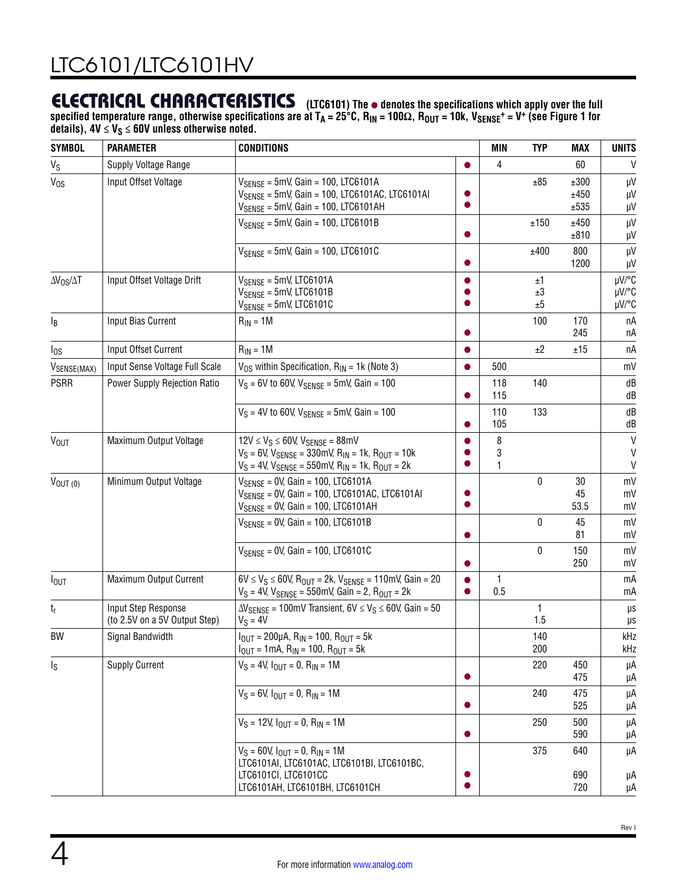### ELECTRICAL CHARACTERISTICS **(LTC6101) The** ● **denotes the specifications which apply over the full**

**specified temperature range, otherwise specifications are at TA = 25°C, RIN = 100Ω, ROUT = 10k, VSENSE+ = V+ (see [Figure 1](#page-8-0) for**  details), 4V  $\leq$  V<sub>S</sub>  $\leq$  60V unless otherwise noted.

| <b>SYMBOL</b>            | <b>PARAMETER</b>                                     | <b>CONDITIONS</b>                                                                                                                                                                  | MIN         | <b>TYP</b>          | MAX                  | <b>UNITS</b>                      |
|--------------------------|------------------------------------------------------|------------------------------------------------------------------------------------------------------------------------------------------------------------------------------------|-------------|---------------------|----------------------|-----------------------------------|
| $V_S$                    | Supply Voltage Range                                 |                                                                                                                                                                                    | 4           |                     | 60                   | V                                 |
| $V_{OS}$                 | Input Offset Voltage                                 | $V_{\text{SENSE}} = 5 \text{mV}$ , Gain = 100, LTC6101A<br>$V_{\text{SFNSF}}$ = 5mV, Gain = 100, LTC6101AC, LTC6101AI<br>$V_{\text{SFNSF}}$ = 5mV, Gain = 100, LTC6101AH           |             | ±85                 | ±300<br>±450<br>±535 | μV<br>μV<br>μV                    |
|                          |                                                      | $V_{\text{SENSE}} = 5 \text{mV}$ , Gain = 100, LTC6101B                                                                                                                            |             | ±150                | ±450<br>±810         | μV<br>μV                          |
|                          |                                                      | $V_{\text{SFNSF}} = 5 \text{mV}$ , Gain = 100, LTC6101C                                                                                                                            |             | ±400                | 800<br>1200          | μV<br>μV                          |
| $\Delta V_{OS}/\Delta T$ | Input Offset Voltage Drift                           | $V_{\text{SENSE}} = 5 \text{mV}$ , LTC6101A<br>$V_{\text{SENSE}} = 5 \text{mV}$ , LTC6101B<br>$V_{SENSE} = 5mV$ , LTC6101C                                                         |             | ±1<br>±3<br>±5      |                      | µV/°C<br>µV/°C<br>µV/°C           |
| $I_B$                    | Input Bias Current                                   | $R_{IN} = 1M$                                                                                                                                                                      |             | 100                 | 170<br>245           | пA<br>пA                          |
| $I_{OS}$                 | Input Offset Current                                 | $R_{IN} = 1M$                                                                                                                                                                      |             | ±2                  | ±15                  | пA                                |
| VSENSE(MAX)              | Input Sense Voltage Full Scale                       | $V_{OS}$ within Specification, $R_{IN}$ = 1k (Note 3)                                                                                                                              | 500         |                     |                      | mV                                |
| <b>PSRR</b>              | Power Supply Rejection Ratio                         | $V_S$ = 6V to 60V, $V_{SENSE}$ = 5mV, Gain = 100                                                                                                                                   | 118<br>115  | 140                 |                      | dB<br>dB                          |
|                          |                                                      | $V_S = 4V$ to 60V, $V_{SENSE} = 5mV$ , Gain = 100                                                                                                                                  | 110<br>105  | 133                 |                      | dB<br>dB                          |
| <b>VOUT</b>              | Maximum Output Voltage                               | $12V \le V_S \le 60V$ , $V_{SENSE} = 88mV$<br>$V_S$ = 6V, $V_{SENSE}$ = 330mV, $R_{IN}$ = 1k, $R_{OUT}$ = 10k<br>$V_S = 4V$ , $V_{SENSE} = 550$ mV, $R_{IN} = 1k$ , $R_{OUT} = 2k$ | 8<br>3<br>1 |                     |                      | $\mathsf{V}$<br>$\mathsf{V}$<br>V |
| $V_{OUT (0)}$            | Minimum Output Voltage                               | $V_{\text{SENSE}} = 0V$ , Gain = 100, LTC6101A<br>V <sub>SENSE</sub> = 0V, Gain = 100, LTC6101AC, LTC6101AI<br>$V_{SENSE}$ = 0V, Gain = 100, LTC6101AH                             |             | $\pmb{0}$           | 30<br>45<br>53.5     | mV<br>mV<br>mV                    |
|                          |                                                      | $V_{\text{SENSE}} = 0V$ , Gain = 100, LTC6101B                                                                                                                                     |             | 0                   | 45<br>81             | mV<br>mV                          |
|                          |                                                      | $V_{\text{SENSE}} = 0V$ , Gain = 100, LTC6101C                                                                                                                                     |             | 0                   | 150<br>250           | mV<br>mV                          |
| $I_{OUT}$                | Maximum Output Current                               | $6V \le V_S \le 60V$ , $R_{OUT} = 2k$ , $V_{SENSE} = 110mV$ , Gain = 20<br>$V_S = 4V$ , $V_{SENSE} = 550$ mV, Gain = 2, $R_{OUT} = 2k$                                             | 1<br>0.5    |                     |                      | mA<br>mA                          |
| $t_{\sf r}$              | Input Step Response<br>(to 2.5V on a 5V Output Step) | $\Delta V_{\text{SENSE}}$ = 100mV Transient, 6V $\leq$ V <sub>S</sub> $\leq$ 60V, Gain = 50<br>$V_S = 4V$                                                                          |             | $\mathbf{1}$<br>1.5 |                      | μs<br>μs                          |
| BW                       | Signal Bandwidth                                     | $I_{OUT}$ = 200µA, R <sub>IN</sub> = 100, R <sub>OUT</sub> = 5k<br>$I_{\text{OUT}} = 1 \text{mA}, R_{\text{IN}} = 100, R_{\text{OUT}} = 5 \text{k}$                                |             | 140<br>200          |                      | kHz<br>kHz                        |
| Is                       | <b>Supply Current</b>                                | $V_S = 4V$ , $I_{OIII} = 0$ , $R_{IN} = 1M$                                                                                                                                        |             | 220                 | 450<br>475           | μA<br>μA                          |
|                          |                                                      | $V_S = 6V$ , $I_{OUT} = 0$ , $R_{IN} = 1M$                                                                                                                                         |             | 240                 | 475<br>525           | μA<br>μA                          |
|                          |                                                      | $V_S = 12V$ , $I_{OUT} = 0$ , $R_{IN} = 1M$                                                                                                                                        |             | 250                 | 500<br>590           | μA<br>μA                          |
|                          |                                                      | $V_S = 60V$ , $I_{OUT} = 0$ , $R_{IN} = 1M$<br>LTC6101AI, LTC6101AC, LTC6101BI, LTC6101BC,                                                                                         |             | 375                 | 640                  | μA                                |
|                          |                                                      | LTC6101CI, LTC6101CC<br>LTC6101AH, LTC6101BH, LTC6101CH                                                                                                                            |             |                     | 690<br>720           | μA<br>μA                          |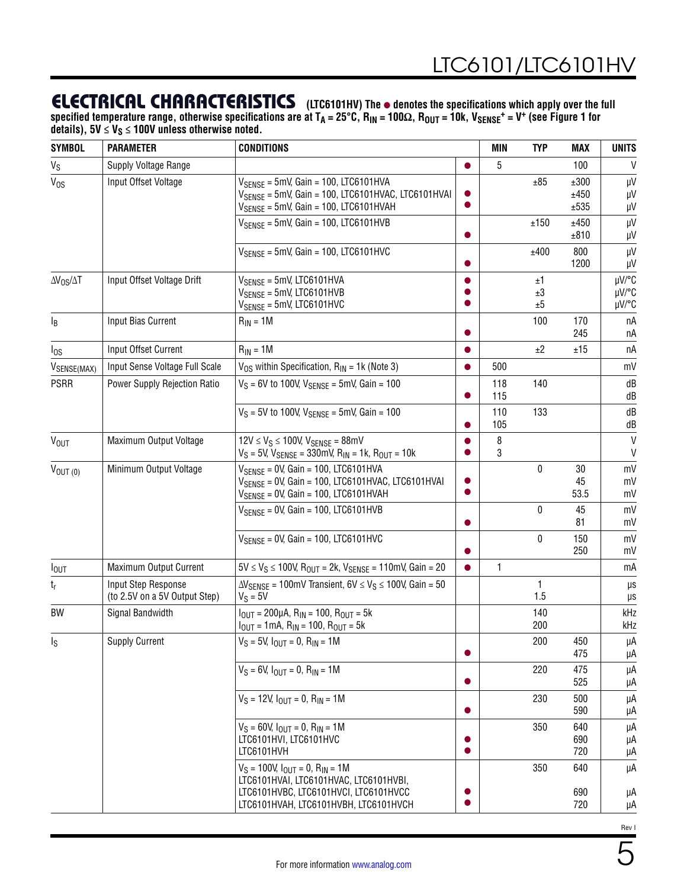### ELECTRICAL CHARACTERISTICS **(LTC6101HV) The** ● **denotes the specifications which apply over the full**

**specified temperature range, otherwise specifications are at TA = 25°C, RIN = 100Ω, ROUT = 10k, VSENSE+ = V+ (see [Figure 1](#page-8-0) for**  details), 5V  $\leq$  V<sub>S</sub>  $\leq$  100V unless otherwise noted.

| <b>SYMBOL</b>            | <b>PARAMETER</b>                                     | <b>CONDITIONS</b>                                                                                                                                           | MIN        | <b>TYP</b>          | <b>MAX</b>           | <b>UNITS</b>            |
|--------------------------|------------------------------------------------------|-------------------------------------------------------------------------------------------------------------------------------------------------------------|------------|---------------------|----------------------|-------------------------|
| $V_S$                    | Supply Voltage Range                                 |                                                                                                                                                             | 5          |                     | 100                  | V                       |
| $V_{OS}$                 | Input Offset Voltage                                 | $V_{SENSE} = 5mV$ , Gain = 100, LTC6101HVA<br>V <sub>SENSE</sub> = 5mV, Gain = 100, LTC6101HVAC, LTC6101HVAI<br>$V_{SENSE} = 5mV$ , Gain = 100, LTC6101HVAH |            | ±85                 | ±300<br>±450<br>±535 | μV<br>μV<br>μV          |
|                          |                                                      | $V_{\text{SENSE}} = 5 \text{mV}$ , Gain = 100, LTC6101HVB                                                                                                   |            | ±150                | ±450<br>±810         | $\mu$ V<br>μV           |
|                          |                                                      | $V_{\text{SENSE}} = 5 \text{mV}$ , Gain = 100, LTC6101HVC                                                                                                   |            | ±400                | 800<br>1200          | $\mu$ V<br>μV           |
| $\Delta V_{OS}/\Delta T$ | Input Offset Voltage Drift                           | $V_{\text{SENSF}} = 5 \text{mV}$ , LTC6101HVA<br>$V_{\text{SENSE}} = 5 \text{mV}$ , LTC6101HVB<br>V <sub>SENSE</sub> = 5mV, LTC6101HVC                      |            | ±1<br>$\pm 3$<br>±5 |                      | µV/°C<br>µV/°C<br>µV/°C |
| $I_B$                    | Input Bias Current                                   | $R_{IN} = 1M$                                                                                                                                               |            | 100                 | 170<br>245           | пA<br>пA                |
| $I_{OS}$                 | Input Offset Current                                 | $R_{IN} = 1M$                                                                                                                                               |            | ±2                  | ±15                  | пA                      |
| VSENSE(MAX)              | Input Sense Voltage Full Scale                       | $V_{OS}$ within Specification, $R_{IN} = 1k$ (Note 3)                                                                                                       | 500        |                     |                      | mV                      |
| <b>PSRR</b>              | Power Supply Rejection Ratio                         | $V_S$ = 6V to 100V, $V_{SENSE}$ = 5mV, Gain = 100                                                                                                           | 118<br>115 | 140                 |                      | dB<br>dB                |
|                          |                                                      | $V_S$ = 5V to 100V, $V_{SENSE}$ = 5mV, Gain = 100                                                                                                           | 110<br>105 | 133                 |                      | dB<br>dB                |
| <b>V<sub>OUT</sub></b>   | Maximum Output Voltage                               | $12V \le V_S \le 100V$ , $V_{SENSE} = 88mV$<br>$V_S$ = 5V, $V_{SENSE}$ = 330mV, R <sub>IN</sub> = 1k, R <sub>OUT</sub> = 10k                                | 8<br>3     |                     |                      | $\mathsf{V}$<br>V       |
| $V_{OUT (0)}$            | Minimum Output Voltage                               | $V_{\text{SFNSF}} = 0V$ , Gain = 100, LTC6101HVA<br>$V_{SENSE}$ = 0V, Gain = 100, LTC6101HVAC, LTC6101HVAI<br>$V_{SENSE}$ = 0V, Gain = 100, LTC6101HVAH     |            | 0                   | 30<br>45<br>53.5     | mV<br>mV<br>mV          |
|                          |                                                      | $V_{\text{SENSE}} = 0V$ , Gain = 100, LTC6101HVB                                                                                                            |            | 0                   | 45<br>81             | mV<br>mV                |
|                          |                                                      | $V_{\text{SENSE}} = 0V$ , Gain = 100, LTC6101HVC                                                                                                            |            | 0                   | 150<br>250           | mV<br>mV                |
| $I_{\text{OUT}}$         | Maximum Output Current                               | $5V \le V_S \le 100V$ , $R_{OUT} = 2k$ , $V_{SENSE} = 110mV$ , Gain = 20                                                                                    | 1          |                     |                      | mA                      |
| t <sub>r</sub>           | Input Step Response<br>(to 2.5V on a 5V Output Step) | $\Delta V_{\rm SENSE}$ = 100mV Transient, 6V $\leq$ V <sub>S</sub> $\leq$ 100V, Gain = 50<br>$V_S = 5V$                                                     |            | 1<br>1.5            |                      | μs<br>μs                |
| <b>BW</b>                | Signal Bandwidth                                     | $I_{\text{OUT}} = 200 \mu A$ , R <sub>IN</sub> = 100, R <sub>OUT</sub> = 5k<br>$I_{OUT} = 1mA$ , $R_{IN} = 100$ , $R_{OUT} = 5k$                            |            | 140<br>200          |                      | kHz<br>kHz              |
| $\mathsf{I}_\mathsf{S}$  | Supply Current                                       | $V_S = 5V$ , $I_{OUT} = 0$ , $R_{IN} = 1M$                                                                                                                  |            | 200                 | 450<br>475           | μA<br>μA                |
|                          |                                                      | $V_S = 6V$ , $I_{OUT} = 0$ , $R_{IN} = 1M$                                                                                                                  |            | 220                 | 475<br>525           | μA<br>μA                |
|                          |                                                      | $V_S = 12V$ , $I_{OUT} = 0$ , $R_{IN} = 1M$                                                                                                                 |            | 230                 | 500<br>590           | μA<br>μA                |
|                          |                                                      | $V_S = 60V$ , $I_{OUT} = 0$ , $R_{IN} = 1M$<br>LTC6101HVI, LTC6101HVC<br>LTC6101HVH                                                                         |            | 350                 | 640<br>690<br>720    | μA<br>μA<br>μA          |
|                          |                                                      | $V_S = 100V$ , $I_{OUT} = 0$ , $R_{IN} = 1M$<br>LTC6101HVAI, LTC6101HVAC, LTC6101HVBI,                                                                      |            | 350                 | 640                  | μA                      |
|                          |                                                      | LTC6101HVBC, LTC6101HVCI, LTC6101HVCC<br>LTC6101HVAH, LTC6101HVBH, LTC6101HVCH                                                                              |            |                     | 690<br>720           | μA<br>μA                |

Rev I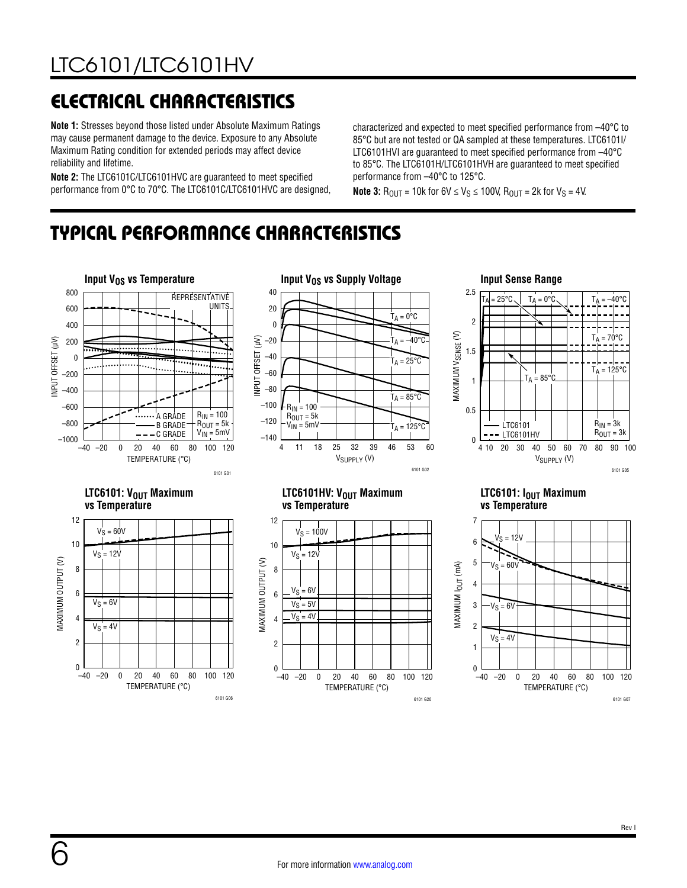6

# ELECTRICAL CHARACTERISTICS

**Note 1:** Stresses beyond those listed under Absolute Maximum Ratings may cause permanent damage to the device. Exposure to any Absolute Maximum Rating condition for extended periods may affect device reliability and lifetime.

**Note 2:** The LTC6101C/LTC6101HVC are guaranteed to meet specified performance from 0°C to 70°C. The LTC6101C/LTC6101HVC are designed, characterized and expected to meet specified performance from –40°C to 85°C but are not tested or QA sampled at these temperatures. LTC6101I/ LTC6101HVI are guaranteed to meet specified performance from –40°C to 85°C. The LTC6101H/LTC6101HVH are guaranteed to meet specified performance from –40°C to 125°C.

**Note 3:**  $R_{\text{OUT}} = 10k$  for  $6V \le V_S \le 100V$ ,  $R_{\text{OUT}} = 2k$  for  $V_S = 4V$ .

# TYPICAL PERFORMANCE CHARACTERISTICS

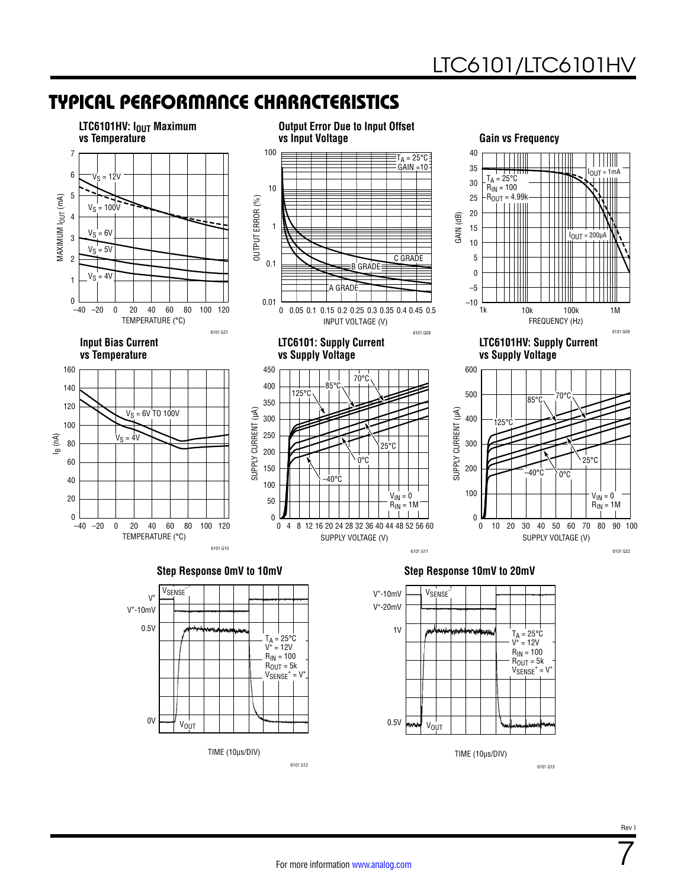### TYPICAL PERFORMANCE CHARACTERISTICS



6101 G12

TIME (10µs/DIV)

0V

**V**OUT



6101 G13

7

0.5V

VOUT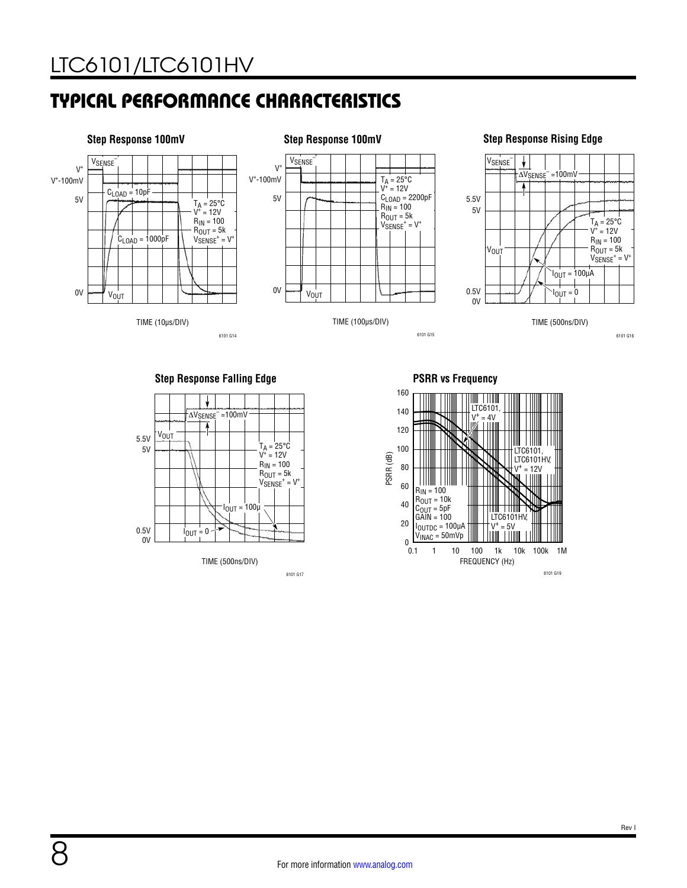# <span id="page-7-0"></span>TYPICAL PERFORMANCE CHARACTERISTICS



**Step Response Falling Edge**



6101 G17

**PSRR vs Frequency**

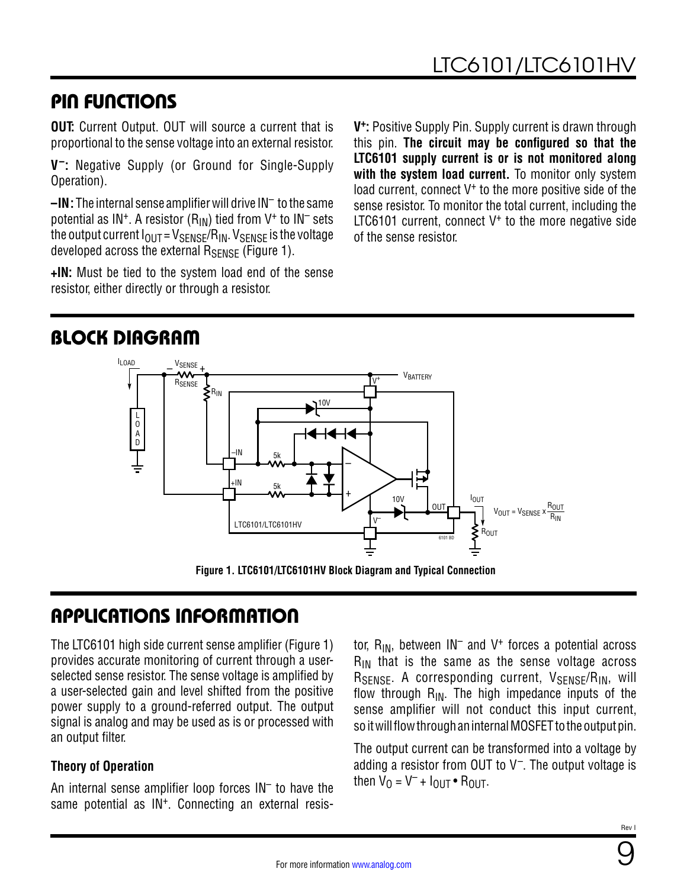# PIN FUNCTIONS

**OUT:** Current Output. OUT will source a current that is proportional to the sense voltage into an external resistor.

**V–:** Negative Supply (or Ground for Single-Supply Operation).

**–IN:** The internal sense amplifier will drive IN– to the same potential as  $IN^+$ . A resistor  $(R_{IN})$  tied from  $V^+$  to  $IN^-$  sets the output current  $I_{OUT} = V_{SENSE}/R_{IN}$ .  $V_{SENSE}$  is the voltage developed across the external R<sub>SENSE</sub> ([Figure 1](#page-8-0)).

**+IN:** Must be tied to the system load end of the sense resistor, either directly or through a resistor.

**V+:** Positive Supply Pin. Supply current is drawn through this pin. **The circuit may be configured so that the LTC6101 supply current is or is not monitored along with the system load current.** To monitor only system load current, connect V<sup>+</sup> to the more positive side of the sense resistor. To monitor the total current, including the LTC6101 current, connect  $V^+$  to the more negative side of the sense resistor.



# <span id="page-8-0"></span>APPLICATIONS INFORMATION

The LTC6101 high side current sense amplifier ([Figure 1\)](#page-8-0) provides accurate monitoring of current through a userselected sense resistor. The sense voltage is amplified by a user-selected gain and level shifted from the positive power supply to a ground-referred output. The output signal is analog and may be used as is or processed with an output filter.

#### **Theory of Operation**

An internal sense amplifier loop forces IN– to have the same potential as IN<sup>+</sup>. Connecting an external resistor,  $R_{IN}$ , between  $IN^-$  and  $V^+$  forces a potential across  $R_{IN}$  that is the same as the sense voltage across  $R_{\text{SENSE}}$ . A corresponding current,  $V_{\text{SENSE}}/R_{\text{IN}}$ , will flow through  $R_{IN}$ . The high impedance inputs of the sense amplifier will not conduct this input current, so it will flow through an internal MOSFET to the output pin.

The output current can be transformed into a voltage by adding a resistor from OUT to  $V^-$ . The output voltage is then  $V_0 = V^- + I_{OUT} \cdot R_{OUT}$ .

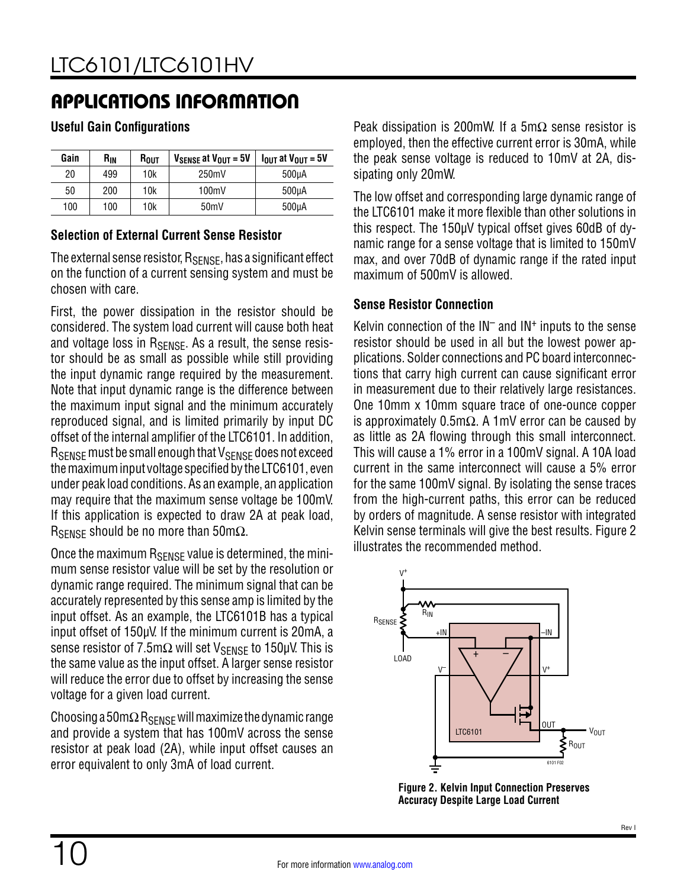**Useful Gain Configurations** 

| Gain | R <sub>IN</sub> | R <sub>out</sub> | $V_{\text{SENSE}}$ at $V_{\text{OUT}} = 5V$ | $I_{\text{OUT}}$ at $V_{\text{OUT}} = 5V$ |
|------|-----------------|------------------|---------------------------------------------|-------------------------------------------|
| 20   | 499             | 10k              | 250mV                                       | 500 <sub>U</sub> A                        |
| 50   | 200             | 10k              | 100mV                                       | 500 <sub>U</sub> A                        |
| 100  | 100             | 10k              | 50 <sub>m</sub> V                           | 500 <sub>U</sub> A                        |

#### **Selection of External Current Sense Resistor**

The external sense resistor,  $R_{\text{SENSE}}$ , has a significant effect on the function of a current sensing system and must be chosen with care.

First, the power dissipation in the resistor should be considered. The system load current will cause both heat and voltage loss in  $R_{\text{SENSF}}$ . As a result, the sense resistor should be as small as possible while still providing the input dynamic range required by the measurement. Note that input dynamic range is the difference between the maximum input signal and the minimum accurately reproduced signal, and is limited primarily by input DC offset of the internal amplifier of the LTC6101. In addition, R<sub>SENSE</sub> must be small enough that V<sub>SENSE</sub> does not exceed the maximum input voltage specified by the LTC6101, even under peak load conditions. As an example, an application may require that the maximum sense voltage be 100mV. If this application is expected to draw 2A at peak load, RSENSE should be no more than 50m $\Omega$ .

Once the maximum  $R_{\text{SENSE}}$  value is determined, the minimum sense resistor value will be set by the resolution or dynamic range required. The minimum signal that can be accurately represented by this sense amp is limited by the input offset. As an example, the LTC6101B has a typical input offset of 150µV. If the minimum current is 20mA, a sense resistor of  $7.5 \text{m}\Omega$  will set  $V_{\text{SENSE}}$  to 150µV. This is the same value as the input offset. A larger sense resistor will reduce the error due to offset by increasing the sense voltage for a given load current.

Choosing a 50m $\Omega$  R<sub>SENSE</sub> will maximize the dynamic range and provide a system that has 100mV across the sense resistor at peak load (2A), while input offset causes an error equivalent to only 3mA of load current.

Peak dissipation is 200mW. If a  $5m\Omega$  sense resistor is employed, then the effective current error is 30mA, while the peak sense voltage is reduced to 10mV at 2A, dissipating only 20mW.

The low offset and corresponding large dynamic range of the LTC6101 make it more flexible than other solutions in this respect. The 150µV typical offset gives 60dB of dynamic range for a sense voltage that is limited to 150mV max, and over 70dB of dynamic range if the rated input maximum of 500mV is allowed.

#### **Sense Resistor Connection**

Kelvin connection of the  $IN^-$  and  $IN^+$  inputs to the sense resistor should be used in all but the lowest power applications. Solder connections and PC board interconnections that carry high current can cause significant error in measurement due to their relatively large resistances. One 10mm x 10mm square trace of one-ounce copper is approximately 0.5m $\Omega$ . A 1mV error can be caused by as little as 2A flowing through this small interconnect. This will cause a 1% error in a 100mV signal. A 10A load current in the same interconnect will cause a 5% error for the same 100mV signal. By isolating the sense traces from the high-current paths, this error can be reduced by orders of magnitude. A sense resistor with integrated Kelvin sense terminals will give the best results. [Figure 2](#page-9-0) illustrates the recommended method.



<span id="page-9-0"></span>**Figure 2. Kelvin Input Connection Preserves Accuracy Despite Large Load Current**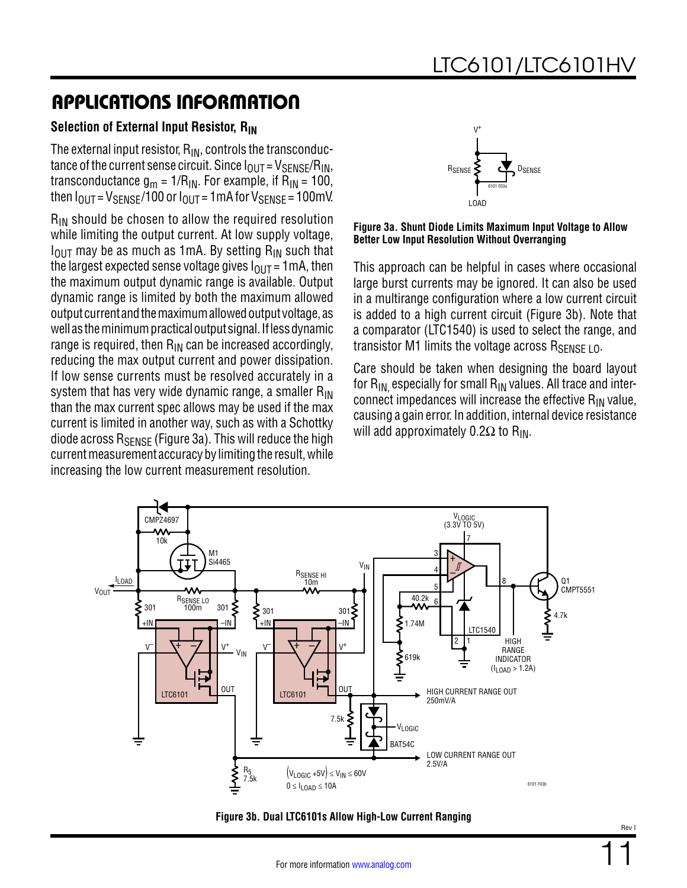#### **Selection of External Input Resistor, R<sub>IN</sub>**

The external input resistor,  $R_{IN}$ , controls the transconductance of the current sense circuit. Since  $I_{OUT} = V_{SENSE}/R_{IN}$ , transconductance  $g_m = 1/R_{IN}$ . For example, if  $R_{IN} = 100$ , then  $I_{\text{OUT}} = V_{\text{SENSE}}/100$  or  $I_{\text{OUT}} = 1$  mA for  $V_{\text{SENSE}} = 100$  mV.

 $R_{IN}$  should be chosen to allow the required resolution while limiting the output current. At low supply voltage,  $I<sub>OIII</sub>$  may be as much as 1mA. By setting R<sub>IN</sub> such that the largest expected sense voltage gives  $I_{OIIT} = 1 \text{mA}$ , then the maximum output dynamic range is available. Output dynamic range is limited by both the maximum allowed output current and the maximum allowed output voltage, as well as the minimum practical output signal. If less dynamic range is required, then  $R_{IN}$  can be increased accordingly, reducing the max output current and power dissipation. If low sense currents must be resolved accurately in a system that has very wide dynamic range, a smaller  $R_{IN}$ than the max current spec allows may be used if the max current is limited in another way, such as with a Schottky diode across R<sub>SENSE</sub> [\(Figure 3a](#page-10-0)). This will reduce the high current measurement accuracy by limiting the result, while increasing the low current measurement resolution.



<span id="page-10-0"></span>**Figure 3a. Shunt Diode Limits Maximum Input Voltage to Allow Better Low Input Resolution Without Overranging**

This approach can be helpful in cases where occasional large burst currents may be ignored. It can also be used in a multirange configuration where a low current circuit is added to a high current circuit ([Figure 3b\)](#page-10-1). Note that a comparator (LTC1540) is used to select the range, and transistor M1 limits the voltage across  $R_{\text{SENSE I}}$  o.

Care should be taken when designing the board layout for  $R_{IN}$  especially for small  $R_{IN}$  values. All trace and interconnect impedances will increase the effective  $R_{IN}$  value, causing a gain error. In addition, internal device resistance will add approximately 0.2Ω to R<sub>IN</sub>.



<span id="page-10-1"></span>**Figure 3b. Dual LTC6101s Allow High-Low Current Ranging**

11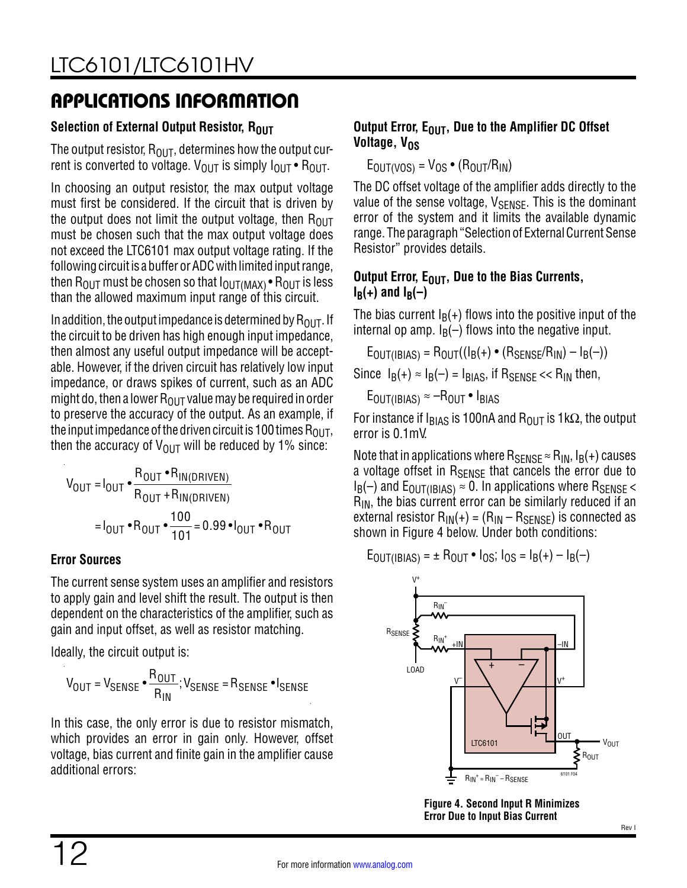### **Selection of External Output Resistor, ROUT**

The output resistor,  $R_{OUT}$ , determines how the output current is converted to voltage.  $V_{OIII}$  is simply  $I_{OIII}$  •  $R_{OIII}$ .

In choosing an output resistor, the max output voltage must first be considered. If the circuit that is driven by the output does not limit the output voltage, then  $R_{OUT}$ must be chosen such that the max output voltage does not exceed the LTC6101 max output voltage rating. If the following circuit is a buffer or ADC with limited input range, then  $R_{\text{OUT}}$  must be chosen so that  $I_{\text{OUT}}$   $\text{MAX}$   $\bullet$   $R_{\text{OUT}}$  is less than the allowed maximum input range of this circuit.

In addition, the output impedance is determined by  $R_{O[1]T}$ . If the circuit to be driven has high enough input impedance, then almost any useful output impedance will be acceptable. However, if the driven circuit has relatively low input impedance, or draws spikes of current, such as an ADC might do, then a lower  $R_{OUT}$  value may be required in order to preserve the accuracy of the output. As an example, if the input impedance of the driven circuit is 100 times  $R_{\text{OUT}}$ , then the accuracy of  $V_{\text{OUT}}$  will be reduced by 1% since:

$$
V_{OUT} = I_{OUT} \cdot \frac{R_{OUT} \cdot R_{IN(DRIVEN)}}{R_{OUT} + R_{IN(DRIVEN)}}
$$
  
= I\_{OUT} \cdot R\_{OUT} \cdot \frac{100}{101} = 0.99 \cdot I\_{OUT} \cdot R\_{OUT}

#### **Error Sources**

The current sense system uses an amplifier and resistors to apply gain and level shift the result. The output is then dependent on the characteristics of the amplifier, such as gain and input offset, as well as resistor matching.

Ideally, the circuit output is:

$$
V_{OUT} = V_{SENSE} \cdot \frac{R_{OUT}}{R_{IN}}; V_{SENSE} = R_{SENSE} \cdot I_{SENSE}
$$

In this case, the only error is due to resistor mismatch, which provides an error in gain only. However, offset voltage, bias current and finite gain in the amplifier cause additional errors:

#### **Output Error, E<sub>OUT</sub>, Due to the Amplifier DC Offset Voltage, Vos**

 $E_{OUT(VOS)} = V_{OS} \cdot (R_{OUT}/R_{IN})$ 

The DC offset voltage of the amplifier adds directly to the value of the sense voltage, VSENSE. This is the dominant error of the system and it limits the available dynamic range. The paragraph "Selection of External Current Sense Resistor" provides details.

#### **Output Error, E<sub>OUT</sub>, Due to the Bias Currents,**  $I_R(+)$  and  $I_R(-)$

The bias current  $I_B(+)$  flows into the positive input of the internal op amp.  $I_B(-)$  flows into the negative input.

 $E_{\text{OUT}(\text{IBIAS})} = R_{\text{OUT}}((I_B(+) \cdot (R_{\text{SENSE}}/R_{\text{IN}}) - I_B(-)))$ Since  $I_B(+) \approx I_B(-) = I_{BIAS}$ , if  $R_{SENSE} << R_{IN}$  then,

 $E_{\text{OUT}(\text{IBIAS})} \approx -R_{\text{OUT}} \cdot I_{\text{BIAS}}$ 

For instance if I<sub>BIAS</sub> is 100nA and R<sub>OUT</sub> is 1kΩ, the output error is 0.1mV.

Note that in applications where  $R_{\text{SENSE}} \approx R_{\text{IN}}$ ,  $I_B(+)$  causes a voltage offset in R<sub>SENSE</sub> that cancels the error due to  $I_B(-)$  and  $E_{\text{OUT(IBIAS)}} \approx 0$ . In applications where  $R_{\text{SENSE}} < 1$  $R_{\sf IN}$ , the bias current error can be similarly reduced if an external resistor  $R_{IN}(+) = (R_{IN} - R_{SENSE})$  is connected as shown in [Figure 4](#page-11-0) below. Under both conditions:

$$
E_{OUT(IBIAS)} = \pm R_{OUT} \cdot I_{OS}
$$
;  $I_{OS} = I_B(+) - I_B(-)$ 



<span id="page-11-0"></span>**Figure 4. Second Input R Minimizes Error Due to Input Bias Current**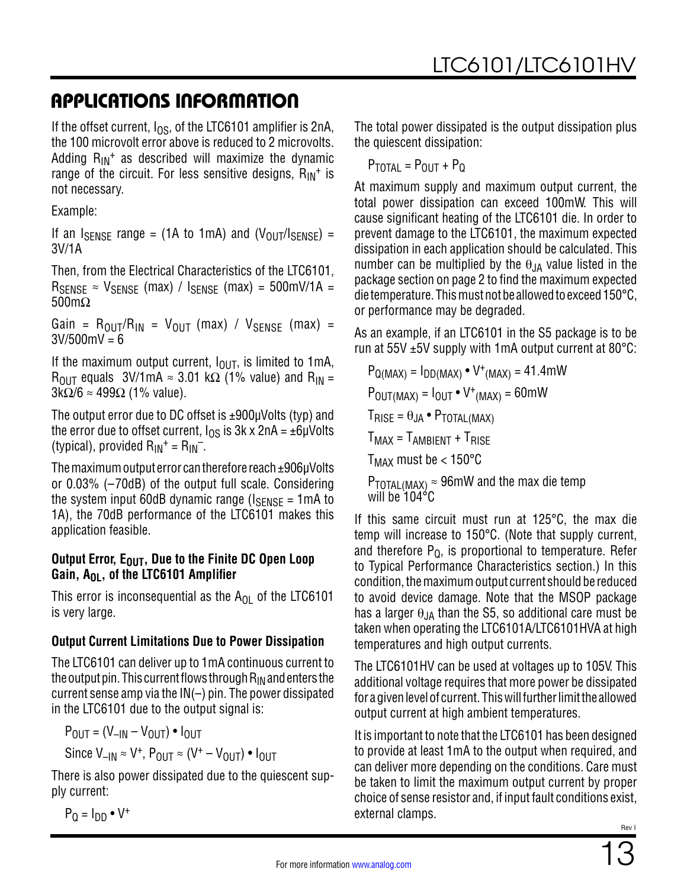If the offset current,  $I_{OS}$ , of the LTC6101 amplifier is 2nA, the 100 microvolt error above is reduced to 2 microvolts. Adding  $R_{IN}$ <sup>+</sup> as described will maximize the dynamic range of the circuit. For less sensitive designs,  $R_{IN}$ <sup>+</sup> is not necessary.

Example:

If an  $I_{\text{SENSE}}$  range = (1A to 1mA) and  $(V_{\text{OUT}}/I_{\text{SENSE}})$  = 3V/1A

Then, from the Electrical Characteristics of the LTC6101,  $R_{\text{SENSE}} \approx V_{\text{SENSE}}$  (max) /  $I_{\text{SENSE}}$  (max) = 500mV/1A = 500mΩ

Gain =  $R_{OUT}/R_{IN}$  =  $V_{OUT}$  (max) /  $V_{SENSE}$  (max) =  $3V/500mV = 6$ 

If the maximum output current,  $I_{\text{OUT}}$ , is limited to 1mA,  $R_{\text{OUT}}$  equals 3V/1mA  $\approx$  3.01 kΩ (1% value) and R<sub>IN</sub> =  $3k\Omega/6 \approx 499\Omega$  (1% value).

The output error due to DC offset is ±900µVolts (typ) and the error due to offset current,  $I_{OS}$  is 3k x 2nA =  $\pm 6\mu$ Volts (typical), provided  $R_{IN}^+ = R_{IN}^-$ .

The maximum output error can therefore reach ±906µVolts or 0.03% (–70dB) of the output full scale. Considering the system input 60dB dynamic range ( $I_{\text{SENSE}} = 1 \text{mA}$  to 1A), the 70dB performance of the LTC6101 makes this application feasible.

#### **Output Error, E<sub>OUT</sub>, Due to the Finite DC Open Loop** Gain, A<sub>OL</sub>, of the LTC6101 Amplifier

This error is inconsequential as the  $A_{01}$  of the LTC6101 is very large.

#### **Output Current Limitations Due to Power Dissipation**

The LTC6101 can deliver up to 1mA continuous current to the output pin. This current flows through  $R_{IN}$  and enters the current sense amp via the IN(–) pin. The power dissipated in the LTC6101 due to the output signal is:

 $P_{\text{OUT}} = (V_{\text{-IN}} - V_{\text{OUT}}) \cdot I_{\text{OUT}}$ 

Since  $V_{-IN} \approx V^+$ ,  $P_{OIII} \approx (V^+ - V_{OIII}) \cdot I_{OIII}$ 

There is also power dissipated due to the quiescent supply current:

 $P<sub>0</sub> = I<sub>DD</sub> • V<sup>+</sup>$ 

The total power dissipated is the output dissipation plus the quiescent dissipation:

 $P_{\text{TOTAI}} = P_{\text{OUT}} + P_{\text{O}}$ 

At maximum supply and maximum output current, the total power dissipation can exceed 100mW. This will cause significant heating of the LTC6101 die. In order to prevent damage to the LTC6101, the maximum expected dissipation in each application should be calculated. This number can be multiplied by the  $\theta_{JA}$  value listed in the package section on page 2 to find the maximum expected die temperature. This must not be allowed to exceed 150°C, or performance may be degraded.

As an example, if an LTC6101 in the S5 package is to be run at 55V  $\pm$ 5V supply with 1mA output current at 80 $^{\circ}$ C:

$$
P_{Q(MAX)} = I_{DD(MAX)} \cdot V^{+}(MAX) = 41.4 mW
$$
  
\n
$$
P_{OUT(MAX)} = I_{OUT} \cdot V^{+}(MAX) = 60 mW
$$
  
\n
$$
T_{RISE} = \theta_{JA} \cdot P_{TOTAL(MAX)}
$$
  
\n
$$
T_{MAX} = T_{AMBIENT} + T_{RISE}
$$
  
\n
$$
T_{MAX} must be < 150^{\circ}C
$$
  
\n
$$
P_{TOTAL(MAX)} \approx 96 mW, and the max die the
$$

Р $_{\sf TOTAL(MAX)}$   $\approx$  96mW and the max die temp will be 104°C

If this same circuit must run at 125°C, the max die temp will increase to 150°C. (Note that supply current, and therefore  $P_Q$ , is proportional to temperature. Refer to [Typical Performance Ch](#page-7-0)aracteristics section.) In this condition, the maximum output current should be reduced to avoid device damage. Note that the MSOP package has a larger  $\theta_{JA}$  than the S5, so additional care must be taken when operating the LTC6101A/LTC6101HVA at high temperatures and high output currents.

The LTC6101HV can be used at voltages up to 105V. This additional voltage requires that more power be dissipated for a given level of current. This will further limit the allowed output current at high ambient temperatures.

It is important to note that the LTC6101 has been designed to provide at least 1mA to the output when required, and can deliver more depending on the conditions. Care must be taken to limit the maximum output current by proper choice of sense resistor and, if input fault conditions exist, external clamps.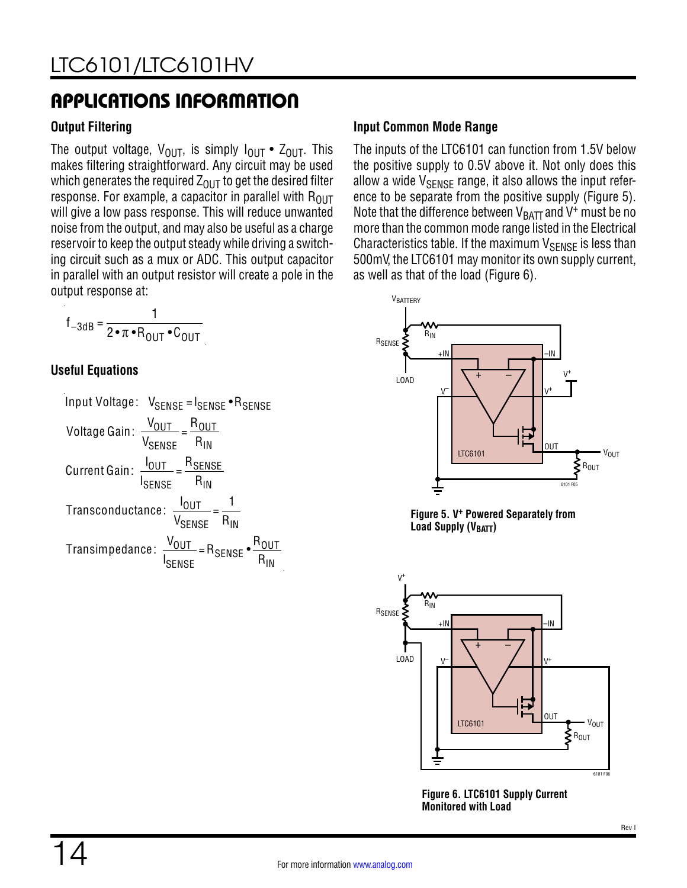#### **Output Filtering**

The output voltage,  $V_{\text{OUT}}$ , is simply  $I_{\text{OUT}} \cdot Z_{\text{OUT}}$ . This makes filtering straightforward. Any circuit may be used which generates the required  $Z_{OUT}$  to get the desired filter response. For example, a capacitor in parallel with  $R_{OUT}$ will give a low pass response. This will reduce unwanted noise from the output, and may also be useful as a charge reservoir to keep the output steady while driving a switching circuit such as a mux or ADC. This output capacitor in parallel with an output resistor will create a pole in the output response at:

$$
f_{-3dB} = \frac{1}{2 \cdot \pi \cdot R_{OUT} \cdot C_{OUT}}
$$

#### **Useful Equations**

| Input Voltage: VSENSE = ISENSE · RSENSE                                              |
|--------------------------------------------------------------------------------------|
| Voltage Gain: $\frac{V_{OUT}}{V_{SENSE}} = \frac{R_{OUT}}{R_{IN}}$                   |
| Current Gain: $\frac{I_{OUT}}{I_{SENSE}} = \frac{R_{SENSE}}{R_{IN}}$                 |
| Transconductance: $\frac{I_{OUT}}{V_{SENSE}} = \frac{1}{R_{IN}}$                     |
| Transimpedance: $\frac{V_{OUT}}{I_{SENSE}} = R_{SENSE} \cdot \frac{R_{OUT}}{R_{IN}}$ |

#### **Input Common Mode Range**

The inputs of the LTC6101 can function from 1.5V below the positive supply to 0.5V above it. Not only does this allow a wide  $V_{\text{SFNSF}}$  range, it also allows the input reference to be separate from the positive supply ([Figure 5\)](#page-13-0). Note that the difference between  $V_{BAT}$  and  $V^+$  must be no more than the common mode range listed in the Electrical Characteristics table. If the maximum  $V_{\text{SENSE}}$  is less than 500mV, the LTC6101 may monitor its own supply current, as well as that of the load ([Figure 6](#page-13-1)).



<span id="page-13-0"></span>**Figure 5. V+ Powered Separately from**  Load Supply (V<sub>BATT</sub>)



<span id="page-13-1"></span>**Figure 6. LTC6101 Supply Current Monitored with Load**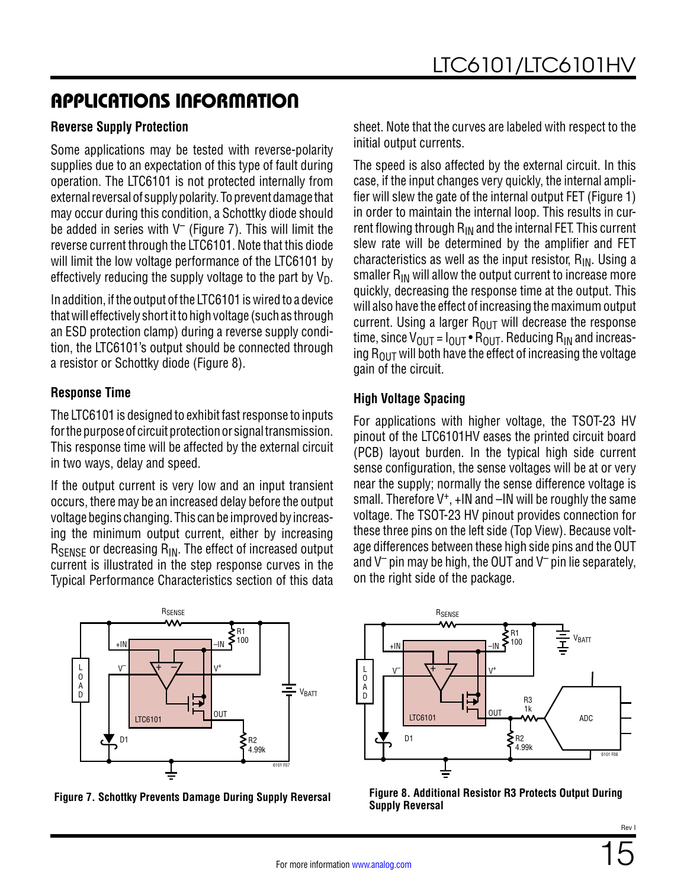#### **Reverse Supply Protection**

Some applications may be tested with reverse-polarity supplies due to an expectation of this type of fault during operation. The LTC6101 is not protected internally from external reversal of supply polarity. To prevent damage that may occur during this condition, a Schottky diode should be added in series with  $V^-$  [\(Figure 7](#page-14-0)). This will limit the reverse current through the LTC6101. Note that this diode will limit the low voltage performance of the LTC6101 by effectively reducing the supply voltage to the part by  $V_D$ .

In addition, if the output of the LTC6101 is wired to a device that will effectively short it to high voltage (such as through an ESD protection clamp) during a reverse supply condition, the LTC6101's output should be connected through a resistor or Schottky diode ([Figure 8](#page-14-1)).

#### **Response Time**

The LTC6101 is designed to exhibit fast response to inputs for the purpose of circuit protection or signal transmission. This response time will be affected by the external circuit in two ways, delay and speed.

If the output current is very low and an input transient occurs, there may be an increased delay before the output voltage begins changing. This can be improved by increasing the minimum output current, either by increasing R<sub>SENSE</sub> or decreasing R<sub>IN</sub>. The effect of increased output current is illustrated in the step response curves in the [Typical Performance Characteristi](#page-7-0)cs section of this data

6101 F07 LTC6101 **≷**r2 4.99k  $\sum$  D1 R1 100 VBATT **R**SENSE L O A D + – $\vee$   $\qquad$   $\qquad$   $\qquad$   $\qquad$   $\qquad$   $\qquad$   $\qquad$   $\qquad$   $\qquad$   $\qquad$   $\qquad$   $\qquad$   $\qquad$   $\qquad$   $\qquad$   $\qquad$   $\qquad$   $\qquad$   $\qquad$   $\qquad$   $\qquad$   $\qquad$   $\qquad$   $\qquad$   $\qquad$   $\qquad$   $\qquad$   $\qquad$   $\qquad$   $\qquad$   $\qquad$   $\qquad$   $\qquad$   $\qquad$   $\qquad$   $\qquad$ OUT  $+1N$  –  $-1N$ 

<span id="page-14-0"></span>

sheet. Note that the curves are labeled with respect to the initial output currents.

The speed is also affected by the external circuit. In this case, if the input changes very quickly, the internal amplifier will slew the gate of the internal output FET [\(Figure 1](#page-8-0)) in order to maintain the internal loop. This results in current flowing through  $R_{IN}$  and the internal FET. This current slew rate will be determined by the amplifier and FET characteristics as well as the input resistor,  $R_{IN}$ . Using a smaller  $R_{IN}$  will allow the output current to increase more quickly, decreasing the response time at the output. This will also have the effect of increasing the maximum output current. Using a larger  $R_{OUT}$  will decrease the response time, since  $V_{\text{OUT}} = I_{\text{OUT}} \cdot R_{\text{OUT}}$ . Reducing  $R_{\text{IN}}$  and increasing  $R_{\text{OUT}}$  will both have the effect of increasing the voltage gain of the circuit.

#### **High Voltage Spacing**

For applications with higher voltage, the TSOT-23 HV pinout of the LTC6101HV eases the printed circuit board (PCB) layout burden. In the typical high side current sense configuration, the sense voltages will be at or very near the supply; normally the sense difference voltage is small. Therefore  $V^+$ ,  $+$ IN and  $-$ IN will be roughly the same voltage. The TSOT-23 HV pinout provides connection for these three pins on the left side (Top View). Because voltage differences between these high side pins and the OUT and  $V^-$  pin may be high, the OUT and  $V^-$  pin lie separately, on the right side of the package.

<span id="page-14-1"></span>

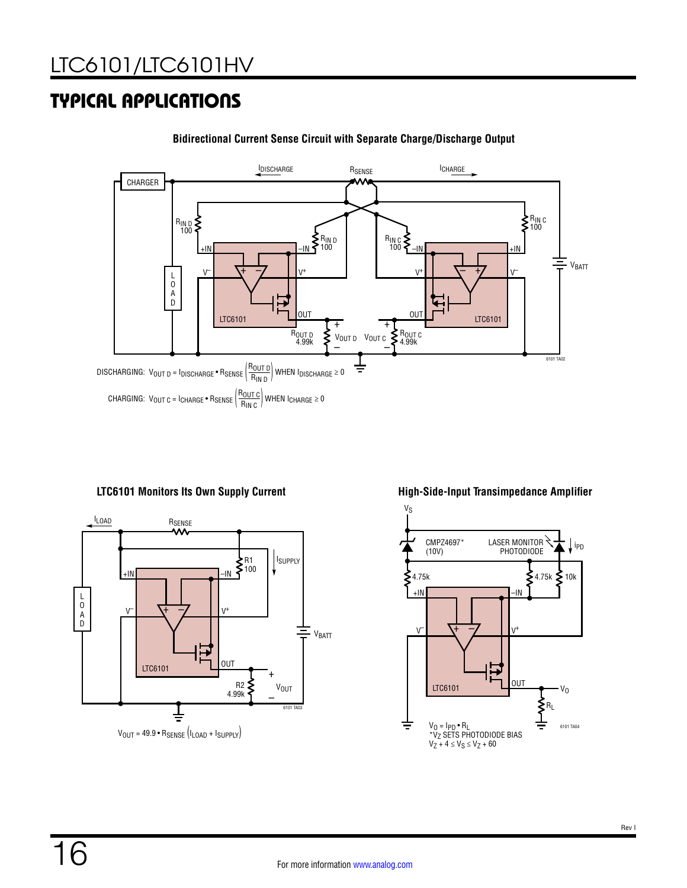# TYPICAL APPLICATIONS



#### **Bidirectional Current Sense Circuit with Separate Charge/Discharge Output**



**LTC6101 Monitors Its Own Supply Current High-Side-Input Transimpedance Amplifier**

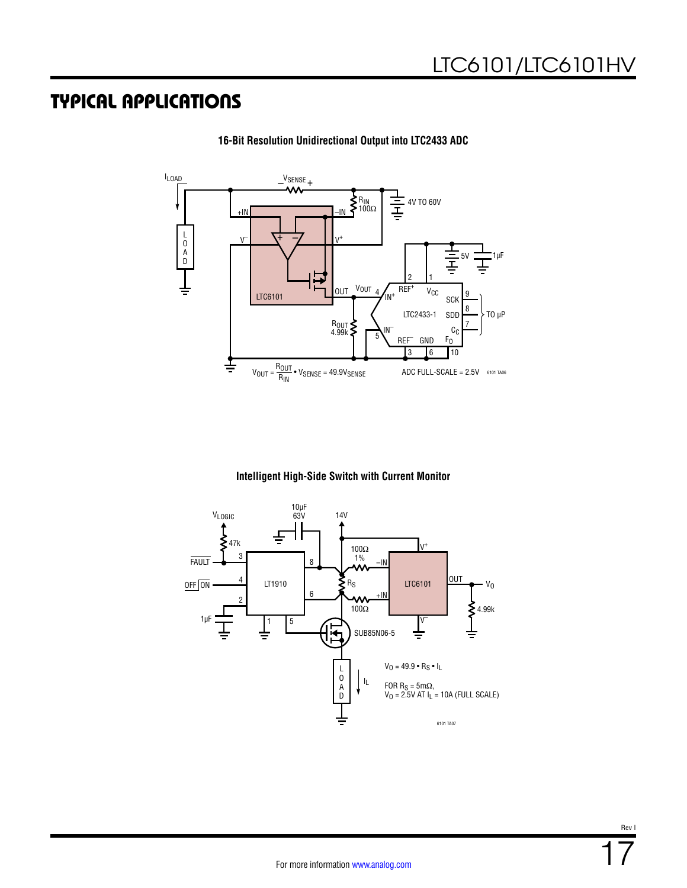### TYPICAL APPLICATIONS



**16-Bit Resolution Unidirectional Output into LTC2433 ADC**

#### **Intelligent High-Side Switch with Current Monitor**

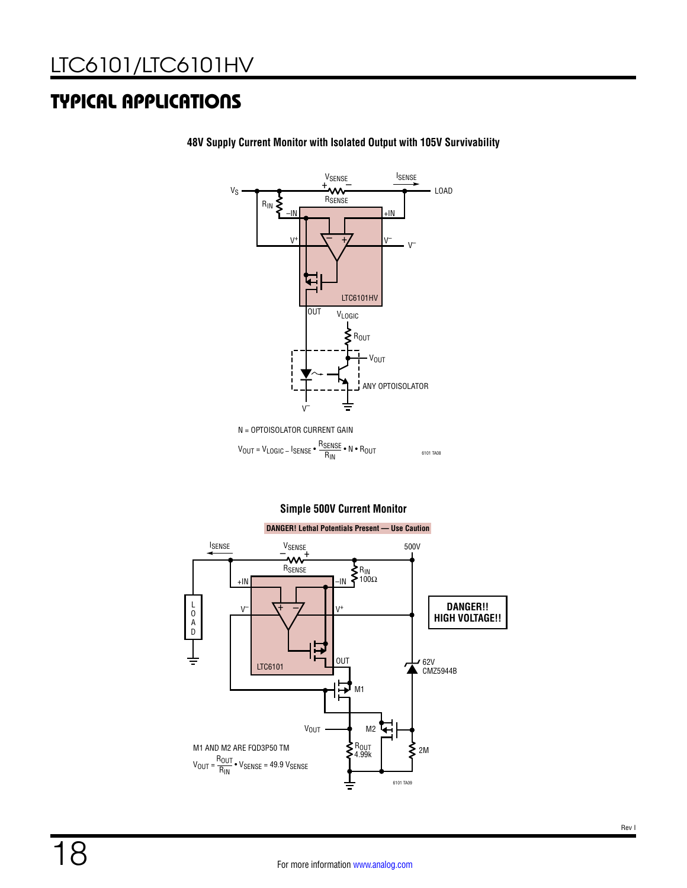# TYPICAL APPLICATIONS



**48V Supply Current Monitor with Isolated Output with 105V Survivability**



#### **Simple 500V Current Monitor**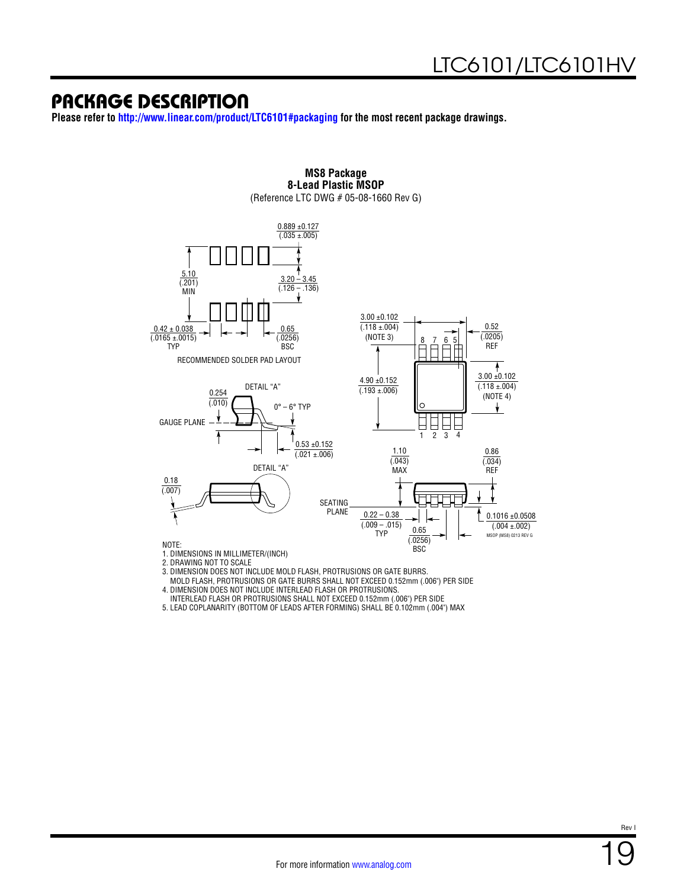### PACKAGE DESCRIPTION

**Please refer to<http://www.linear.com/product/LTC6101#packaging> for the most recent package drawings.**



**MS8 Package 8-Lead Plastic MSOP** (Reference LTC DWG # 05-08-1660 Rev G)

- 3. DIMENSION DOES NOT INCLUDE MOLD FLASH, PROTRUSIONS OR GATE BURRS.
- MOLD FLASH, PROTRUSIONS OR GATE BURRS SHALL NOT EXCEED 0.152mm (.006") PER SIDE

4. DIMENSION DOES NOT INCLUDE INTERLEAD FLASH OR PROTRUSIONS.

 INTERLEAD FLASH OR PROTRUSIONS SHALL NOT EXCEED 0.152mm (.006") PER SIDE 5. LEAD COPLANARITY (BOTTOM OF LEADS AFTER FORMING) SHALL BE 0.102mm (.004") MAX

Rev I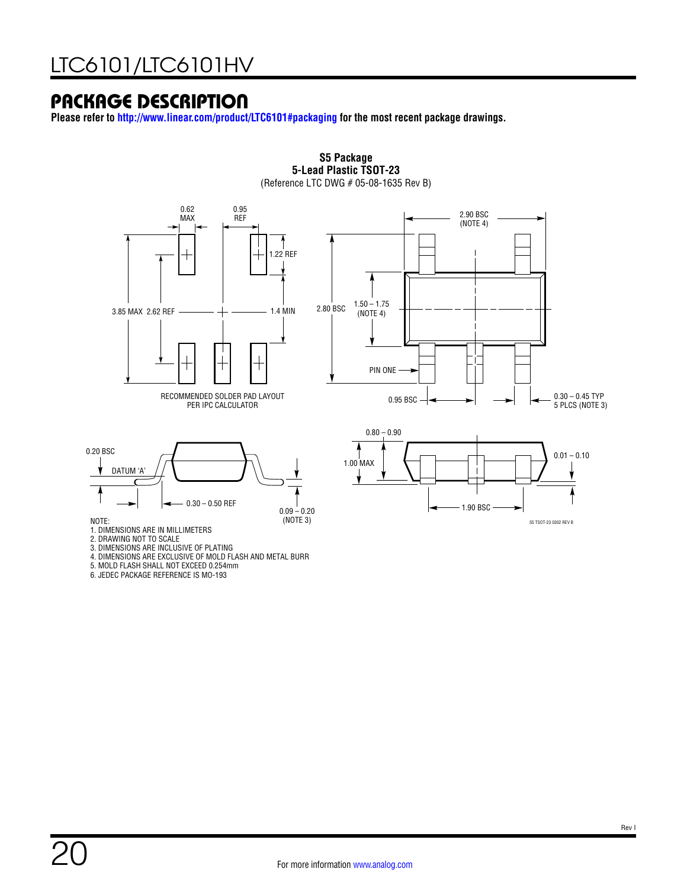### PACKAGE DESCRIPTION

**Please refer to <http://www.linear.com/product/LTC6101#packaging>for the most recent package drawings.**



**S5 Package**

6. JEDEC PACKAGE REFERENCE IS MO-193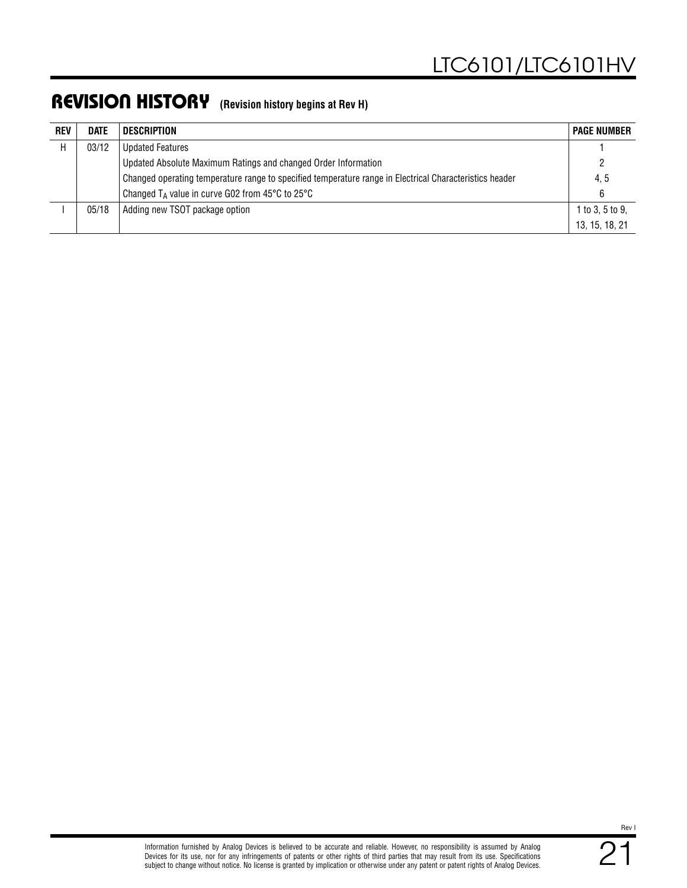### REVISION HISTORY **(Revision history begins at Rev H)**

| <b>REV</b> | <b>DATE</b> | DESCRIPTION                                                                                             | <b>PAGE NUMBER</b> |
|------------|-------------|---------------------------------------------------------------------------------------------------------|--------------------|
| Н          | 03/12       | <b>Updated Features</b>                                                                                 |                    |
|            |             | Updated Absolute Maximum Ratings and changed Order Information                                          | 2                  |
|            |             | Changed operating temperature range to specified temperature range in Electrical Characteristics header | 4, 5               |
|            |             | Changed $T_A$ value in curve G02 from 45 $\degree$ C to 25 $\degree$ C                                  | 6                  |
|            | 05/18       | Adding new TSOT package option                                                                          |                    |
|            |             |                                                                                                         | 13, 15, 18, 21     |